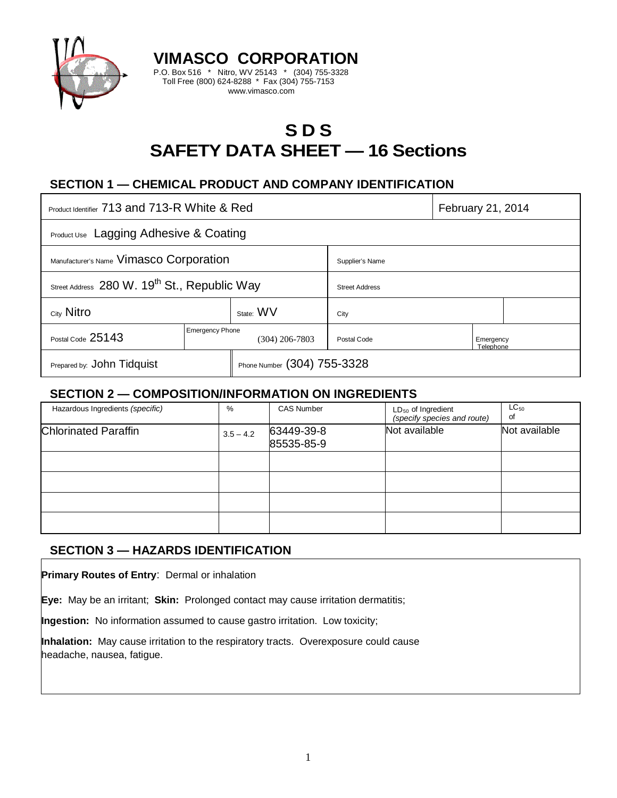

# **S D S SAFETY DATA SHEET — 16 Sections**

# **SECTION 1 — CHEMICAL PRODUCT AND COMPANY IDENTIFICATION**

**VIMASCO CORPORATION** P.O. Box 516 \* Nitro, WV 25143 \* (304) 755-3328 Toll Free (800) 624-8288 \* Fax (304) 755-7153 www.vimasco.com

| Product Identifier 713 and 713-R White & Red             |                        |                             |                       | February 21, 2014      |  |
|----------------------------------------------------------|------------------------|-----------------------------|-----------------------|------------------------|--|
| <b>Product Use</b> Lagging Adhesive & Coating            |                        |                             |                       |                        |  |
| Manufacturer's Name Vimasco Corporation                  |                        |                             | Supplier's Name       |                        |  |
| Street Address 280 W. 19 <sup>th</sup> St., Republic Way |                        |                             | <b>Street Address</b> |                        |  |
| City Nitro                                               |                        | State: WV                   | City                  |                        |  |
| Postal Code 25143                                        | <b>Emergency Phone</b> | $(304)$ 206-7803            | Postal Code           | Emergency<br>Telephone |  |
| Prepared by: John Tidquist                               |                        | Phone Number (304) 755-3328 |                       |                        |  |

### **SECTION 2 — COMPOSITION/INFORMATION ON INGREDIENTS**

| Hazardous Ingredients (specific) | %           | <b>CAS Number</b>        | $LD_{50}$ of Ingredient<br>(specify species and route) | $LC_{50}$<br>of |
|----------------------------------|-------------|--------------------------|--------------------------------------------------------|-----------------|
| <b>Chlorinated Paraffin</b>      | $3.5 - 4.2$ | 63449-39-8<br>85535-85-9 | Not available                                          | Not available   |
|                                  |             |                          |                                                        |                 |
|                                  |             |                          |                                                        |                 |
|                                  |             |                          |                                                        |                 |
|                                  |             |                          |                                                        |                 |

# **SECTION 3 — HAZARDS IDENTIFICATION**

**Primary Routes of Entry**: Dermal or inhalation

**Eye:** May be an irritant; **Skin:** Prolonged contact may cause irritation dermatitis;

**Ingestion:** No information assumed to cause gastro irritation. Low toxicity;

**Inhalation:** May cause irritation to the respiratory tracts. Overexposure could cause headache, nausea, fatigue.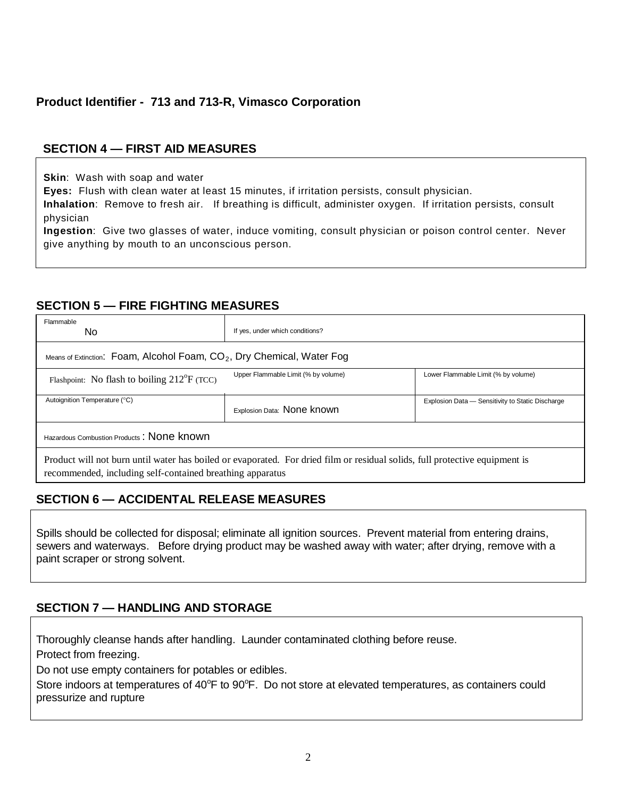# **Product Identifier - 713 and 713-R, Vimasco Corporation**

# **SECTION 4 — FIRST AID MEASURES**

**Skin**: Wash with soap and water

**Eyes:** Flush with clean water at least 15 minutes, if irritation persists, consult physician.

**Inhalation**: Remove to fresh air. If breathing is difficult, administer oxygen. If irritation persists, consult physician

**Ingestion**: Give two glasses of water, induce vomiting, consult physician or poison control center. Never give anything by mouth to an unconscious person.

### **SECTION 5 — FIRE FIGHTING MEASURES**

| Flammable<br>No.                                                                                                                                                                         | If yes, under which conditions?     |                                                  |  |  |  |
|------------------------------------------------------------------------------------------------------------------------------------------------------------------------------------------|-------------------------------------|--------------------------------------------------|--|--|--|
| Means of Extinction: Foam, Alcohol Foam, $CO2$ , Dry Chemical, Water Fog                                                                                                                 |                                     |                                                  |  |  |  |
| Flashpoint: No flash to boiling $212^{\circ}F$ (TCC)                                                                                                                                     | Upper Flammable Limit (% by volume) | Lower Flammable Limit (% by volume)              |  |  |  |
| Autoignition Temperature (°C)                                                                                                                                                            | Explosion Data: None known          | Explosion Data - Sensitivity to Static Discharge |  |  |  |
| Hazardous Combustion Products: None known                                                                                                                                                |                                     |                                                  |  |  |  |
| Product will not burn until water has boiled or evaporated. For dried film or residual solids, full protective equipment is<br>recommended, including self-contained breathing apparatus |                                     |                                                  |  |  |  |

# **SECTION 6 — ACCIDENTAL RELEASE MEASURES**

Spills should be collected for disposal; eliminate all ignition sources. Prevent material from entering drains, sewers and waterways. Before drying product may be washed away with water; after drying, remove with a paint scraper or strong solvent.

# **SECTION 7 — HANDLING AND STORAGE**

Thoroughly cleanse hands after handling. Launder contaminated clothing before reuse.

Protect from freezing.

Do not use empty containers for potables or edibles.

Store indoors at temperatures of 40°F to 90°F. Do not store at elevated temperatures, as containers could pressurize and rupture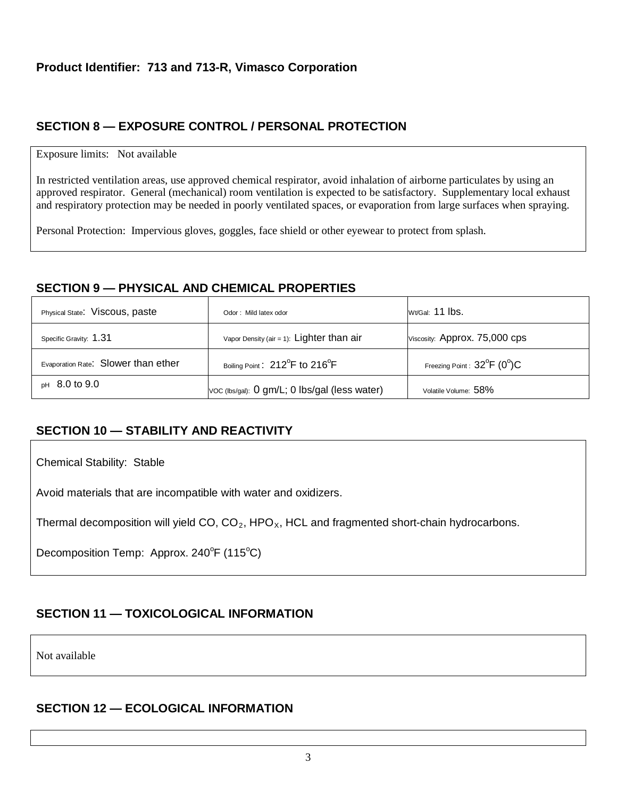# **SECTION 8 — EXPOSURE CONTROL / PERSONAL PROTECTION**

#### Exposure limits: Not available

In restricted ventilation areas, use approved chemical respirator, avoid inhalation of airborne particulates by using an approved respirator. General (mechanical) room ventilation is expected to be satisfactory. Supplementary local exhaust and respiratory protection may be needed in poorly ventilated spaces, or evaporation from large surfaces when spraying.

Personal Protection: Impervious gloves, goggles, face shield or other eyewear to protect from splash.

### **SECTION 9 — PHYSICAL AND CHEMICAL PROPERTIES**

| Physical State: Viscous, paste      | Odor: Mild latex odor                                   | Wt/Gal: 11 lbs.                                  |
|-------------------------------------|---------------------------------------------------------|--------------------------------------------------|
| Specific Gravity: 1.31              | Vapor Density (air = 1): $Lighter than air$             | Viscosity: Approx. 75,000 cps                    |
| Evaporation Rate: Slower than ether | Boiling Point: 212 <sup>°</sup> F to 216 <sup>°</sup> F | Freezing Point : $32^{\circ}$ F (0 $^{\circ}$ )C |
| $pH$ 8.0 to 9.0                     | Voc (lbs/gal): 0 gm/L; 0 lbs/gal (less water)           | Volatile Volume: 58%                             |

# **SECTION 10 — STABILITY AND REACTIVITY**

Chemical Stability: Stable

Avoid materials that are incompatible with water and oxidizers.

Thermal decomposition will yield CO,  $CO<sub>2</sub>$ , HPO<sub>x</sub>, HCL and fragmented short-chain hydrocarbons.

Decomposition Temp: Approx. 240°F (115°C)

# **SECTION 11 — TOXICOLOGICAL INFORMATION**

Not available

### **SECTION 12 — ECOLOGICAL INFORMATION**